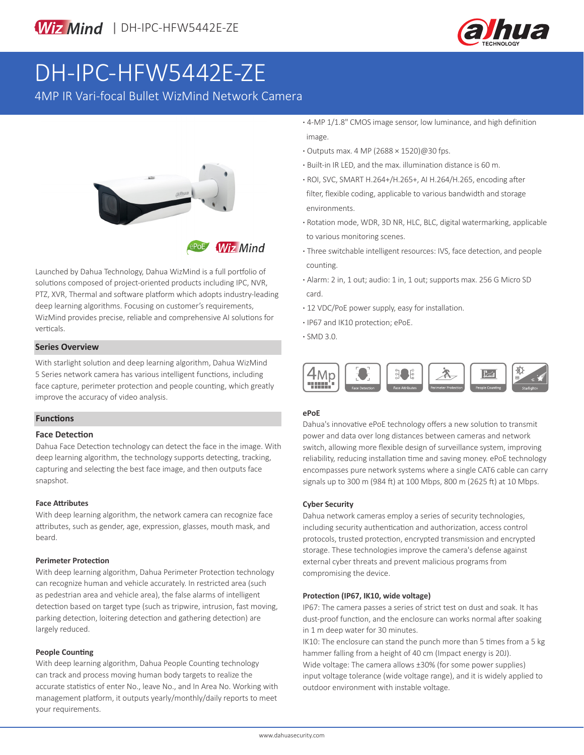



# DH-IPC-HFW5442E-ZE

4MP IR Vari-focal Bullet WizMind Network Camera



**Wiz Mind** 

Launched by Dahua Technology, Dahua WizMind is a full portfolio of solutions composed of project-oriented products including IPC, NVR, PTZ, XVR, Thermal and software platform which adopts industry-leading deep learning algorithms. Focusing on customer's requirements, WizMind provides precise, reliable and comprehensive AI solutions for verticals.

#### **Series Overview**

With starlight solution and deep learning algorithm, Dahua WizMind 5 Series network camera has various intelligent functions, including face capture, perimeter protection and people counting, which greatly improve the accuracy of video analysis.

#### **Functions**

#### **Face Detection**

Dahua Face Detection technology can detect the face in the image. With deep learning algorithm, the technology supports detecting, tracking, capturing and selecting the best face image, and then outputs face snapshot.

#### **Face Attributes**

With deep learning algorithm, the network camera can recognize face attributes, such as gender, age, expression, glasses, mouth mask, and beard.

#### **Perimeter Protection**

With deep learning algorithm, Dahua Perimeter Protection technology can recognize human and vehicle accurately. In restricted area (such as pedestrian area and vehicle area), the false alarms of intelligent detection based on target type (such as tripwire, intrusion, fast moving, parking detection, loitering detection and gathering detection) are largely reduced.

#### **People Counting**

With deep learning algorithm, Dahua People Counting technology can track and process moving human body targets to realize the accurate statistics of enter No., leave No., and In Area No. Working with management platform, it outputs yearly/monthly/daily reports to meet your requirements.

- **·** 4-MP 1/1.8" CMOS image sensor, low luminance, and high definition image.
- **·** Outputs max. 4 MP (2688 × 1520)@30 fps.
- **·** Built-in IR LED, and the max. illumination distance is 60 m.
- **·** ROI, SVC, SMART H.264+/H.265+, AI H.264/H.265, encoding after filter, flexible coding, applicable to various bandwidth and storage environments.
- **·** Rotation mode, WDR, 3D NR, HLC, BLC, digital watermarking, applicable to various monitoring scenes.
- **·** Three switchable intelligent resources: IVS, face detection, and people counting.
- **·** Alarm: 2 in, 1 out; audio: 1 in, 1 out; supports max. 256 G Micro SD card.
- **·** 12 VDC/PoE power supply, easy for installation.
- **·** IP67 and IK10 protection; ePoE.
- **·** SMD 3.0.



#### **ePoE**

Dahua's innovative ePoE technology offers a new solution to transmit power and data over long distances between cameras and network switch, allowing more flexible design of surveillance system, improving reliability, reducing installation time and saving money. ePoE technology encompasses pure network systems where a single CAT6 cable can carry signals up to 300 m (984 ft) at 100 Mbps, 800 m (2625 ft) at 10 Mbps.

#### **Cyber Security**

Dahua network cameras employ a series of security technologies, including security authentication and authorization, access control protocols, trusted protection, encrypted transmission and encrypted storage. These technologies improve the camera's defense against external cyber threats and prevent malicious programs from compromising the device.

#### **Protection (IP67, IK10, wide voltage)**

IP67: The camera passes a series of strict test on dust and soak. It has dust-proof function, and the enclosure can works normal after soaking in 1 m deep water for 30 minutes.

IK10: The enclosure can stand the punch more than 5 times from a 5 kg hammer falling from a height of 40 cm (Impact energy is 20J). Wide voltage: The camera allows ±30% (for some power supplies) input voltage tolerance (wide voltage range), and it is widely applied to outdoor environment with instable voltage.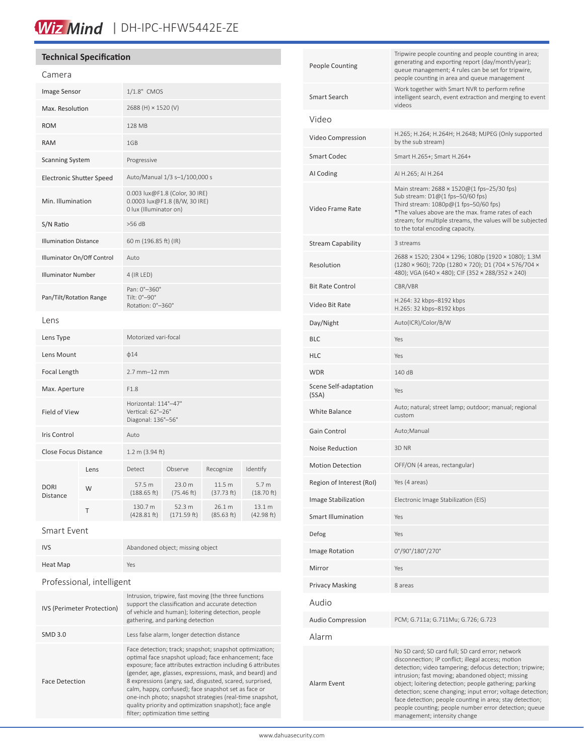# Wiz Mind | DH-IPC-HFW5442E-ZE

### **Technical Specification**

| Camera                          |      |                                                                                           |                       |                      |                                |
|---------------------------------|------|-------------------------------------------------------------------------------------------|-----------------------|----------------------|--------------------------------|
| Image Sensor                    |      | 1/1.8" CMOS                                                                               |                       |                      |                                |
| Max. Resolution                 |      | 2688 (H) × 1520 (V)                                                                       |                       |                      |                                |
| <b>ROM</b>                      |      | 128 MB                                                                                    |                       |                      |                                |
| <b>RAM</b>                      |      | 1GB                                                                                       |                       |                      |                                |
| <b>Scanning System</b>          |      | Progressive                                                                               |                       |                      |                                |
| <b>Electronic Shutter Speed</b> |      | Auto/Manual 1/3 s-1/100,000 s                                                             |                       |                      |                                |
| Min. Illumination               |      | 0.003 lux@F1.8 (Color, 30 IRE)<br>0.0003 lux@F1.8 (B/W, 30 IRE)<br>0 lux (Illuminator on) |                       |                      |                                |
| S/N Ratio                       |      | $>56$ dB                                                                                  |                       |                      |                                |
| <b>Illumination Distance</b>    |      | 60 m (196.85 ft) (IR)                                                                     |                       |                      |                                |
| Illuminator On/Off Control      |      | Auto                                                                                      |                       |                      |                                |
| <b>Illuminator Number</b>       |      | 4 (IR LED)                                                                                |                       |                      |                                |
| Pan/Tilt/Rotation Range         |      | Pan: 0°-360°<br>Tilt: 0°-90°<br>Rotation: 0°-360°                                         |                       |                      |                                |
| Lens                            |      |                                                                                           |                       |                      |                                |
| Lens Type                       |      | Motorized vari-focal                                                                      |                       |                      |                                |
| Lens Mount                      |      | $\phi$ 14                                                                                 |                       |                      |                                |
| Focal Length                    |      | $2.7$ mm $-12$ mm                                                                         |                       |                      |                                |
| Max. Aperture                   |      | F1.8                                                                                      |                       |                      |                                |
| <b>Field of View</b>            |      | Horizontal: 114°-47°<br>Vertical: 62°-26°<br>Diagonal: 136°-56°                           |                       |                      |                                |
| <b>Iris Control</b>             |      | Auto                                                                                      |                       |                      |                                |
| <b>Close Focus Distance</b>     |      | 1.2 m (3.94 ft)                                                                           |                       |                      |                                |
| <b>DORI</b><br>Distance         | Lens | Detect                                                                                    | Observe               | Recognize            | Identify                       |
|                                 | W    | 57.5 m<br>(188.65 ft)                                                                     | 23.0 m<br>(75.46 ft)  | 11.5 m<br>(37.73 ft) | 5.7 <sub>m</sub><br>(18.70 ft) |
|                                 | Τ    | 130.7 m<br>(428.81 ft)                                                                    | 52.3 m<br>(171.59 ft) | 26.1 m<br>(85.63 ft) | 13.1 m<br>(42.98 ft)           |
|                                 |      |                                                                                           |                       |                      |                                |

Smart Event

| <b>IVS</b>                 | Abandoned object; missing object                                                                                                                                                                     |  |  |  |
|----------------------------|------------------------------------------------------------------------------------------------------------------------------------------------------------------------------------------------------|--|--|--|
| Heat Map                   | Yes                                                                                                                                                                                                  |  |  |  |
| Professional, intelligent  |                                                                                                                                                                                                      |  |  |  |
| IVS (Perimeter Protection) | Intrusion, tripwire, fast moving (the three functions<br>support the classification and accurate detection<br>of vehicle and human); loitering detection, people<br>gathering, and parking detection |  |  |  |

SMD 3.0 Less false alarm, longer detection distance Face Detection Face detection; track; snapshot; snapshot optimization; optimal face snapshot upload; face enhancement; face exposure; face attributes extraction including 6 attributes (gender, age, glasses, expressions, mask, and beard) and 8 expressions (angry, sad, disgusted, scared, surprised, calm, happy, confused); face snapshot set as face or one-inch photo; snapshot strategies (real-time snapshot, quality priority and optimization snapshot); face angle filter; optimization time setting

| People Counting                | Tripwire people counting and people counting in area;<br>generating and exporting report (day/month/year);<br>queue management; 4 rules can be set for tripwire,<br>people counting in area and queue management                                                                                                                                                                                                                                                                                     |  |  |
|--------------------------------|------------------------------------------------------------------------------------------------------------------------------------------------------------------------------------------------------------------------------------------------------------------------------------------------------------------------------------------------------------------------------------------------------------------------------------------------------------------------------------------------------|--|--|
| Smart Search                   | Work together with Smart NVR to perform refine<br>intelligent search, event extraction and merging to event<br>videos                                                                                                                                                                                                                                                                                                                                                                                |  |  |
| Video                          |                                                                                                                                                                                                                                                                                                                                                                                                                                                                                                      |  |  |
| Video Compression              | H.265; H.264; H.264H; H.264B; MJPEG (Only supported<br>by the sub stream)                                                                                                                                                                                                                                                                                                                                                                                                                            |  |  |
| <b>Smart Codec</b>             | Smart H.265+; Smart H.264+                                                                                                                                                                                                                                                                                                                                                                                                                                                                           |  |  |
| AI Coding                      | AI H.265; AI H.264                                                                                                                                                                                                                                                                                                                                                                                                                                                                                   |  |  |
| Video Frame Rate               | Main stream: 2688 × 1520@(1 fps-25/30 fps)<br>Sub stream: D1@(1 fps-50/60 fps)<br>Third stream: $1080p@(1$ fps-50/60 fps)<br>*The values above are the max. frame rates of each<br>stream; for multiple streams, the values will be subjected<br>to the total encoding capacity.                                                                                                                                                                                                                     |  |  |
| Stream Capability              | 3 streams                                                                                                                                                                                                                                                                                                                                                                                                                                                                                            |  |  |
| Resolution                     | 2688 × 1520; 2304 × 1296; 1080p (1920 × 1080); 1.3M<br>(1280 × 960); 720p (1280 × 720); D1 (704 × 576/704 ×<br>480); VGA (640 × 480); CIF (352 × 288/352 × 240)                                                                                                                                                                                                                                                                                                                                      |  |  |
| <b>Bit Rate Control</b>        | CBR/VBR                                                                                                                                                                                                                                                                                                                                                                                                                                                                                              |  |  |
| Video Bit Rate                 | H.264: 32 kbps-8192 kbps<br>H.265: 32 kbps-8192 kbps                                                                                                                                                                                                                                                                                                                                                                                                                                                 |  |  |
| Day/Night                      | Auto(ICR)/Color/B/W                                                                                                                                                                                                                                                                                                                                                                                                                                                                                  |  |  |
| BLC                            | Yes                                                                                                                                                                                                                                                                                                                                                                                                                                                                                                  |  |  |
| HLC                            | Yes                                                                                                                                                                                                                                                                                                                                                                                                                                                                                                  |  |  |
| WDR                            | 140 dB                                                                                                                                                                                                                                                                                                                                                                                                                                                                                               |  |  |
| Scene Self-adaptation<br>(SSA) | Yes                                                                                                                                                                                                                                                                                                                                                                                                                                                                                                  |  |  |
| White Balance                  | Auto; natural; street lamp; outdoor; manual; regional<br>custom                                                                                                                                                                                                                                                                                                                                                                                                                                      |  |  |
| Gain Control                   | Auto;Manual                                                                                                                                                                                                                                                                                                                                                                                                                                                                                          |  |  |
| Noise Reduction                | 3D <sub>NR</sub>                                                                                                                                                                                                                                                                                                                                                                                                                                                                                     |  |  |
| <b>Motion Detection</b>        | OFF/ON (4 areas, rectangular)                                                                                                                                                                                                                                                                                                                                                                                                                                                                        |  |  |
| Region of Interest (RoI)       | Yes (4 areas)                                                                                                                                                                                                                                                                                                                                                                                                                                                                                        |  |  |
| Image Stabilization            | Electronic Image Stabilization (EIS)                                                                                                                                                                                                                                                                                                                                                                                                                                                                 |  |  |
| Smart Illumination             | Yes                                                                                                                                                                                                                                                                                                                                                                                                                                                                                                  |  |  |
| Defog                          | Yes                                                                                                                                                                                                                                                                                                                                                                                                                                                                                                  |  |  |
| Image Rotation                 | 0°/90°/180°/270°                                                                                                                                                                                                                                                                                                                                                                                                                                                                                     |  |  |
| Mirror                         | Yes                                                                                                                                                                                                                                                                                                                                                                                                                                                                                                  |  |  |
| Privacy Masking                | 8 areas                                                                                                                                                                                                                                                                                                                                                                                                                                                                                              |  |  |
| Audio                          |                                                                                                                                                                                                                                                                                                                                                                                                                                                                                                      |  |  |
| Audio Compression              | PCM; G.711a; G.711Mu; G.726; G.723                                                                                                                                                                                                                                                                                                                                                                                                                                                                   |  |  |
| Alarm                          |                                                                                                                                                                                                                                                                                                                                                                                                                                                                                                      |  |  |
| Alarm Event                    | No SD card; SD card full; SD card error; network<br>disconnection; IP conflict; illegal access; motion<br>detection; video tampering; defocus detection; tripwire;<br>intrusion; fast moving; abandoned object; missing<br>object; loitering detection; people gathering; parking<br>detection; scene changing; input error; voltage detection;<br>face detection; people counting in area; stay detection;<br>people counting; people number error detection; queue<br>management; intensity change |  |  |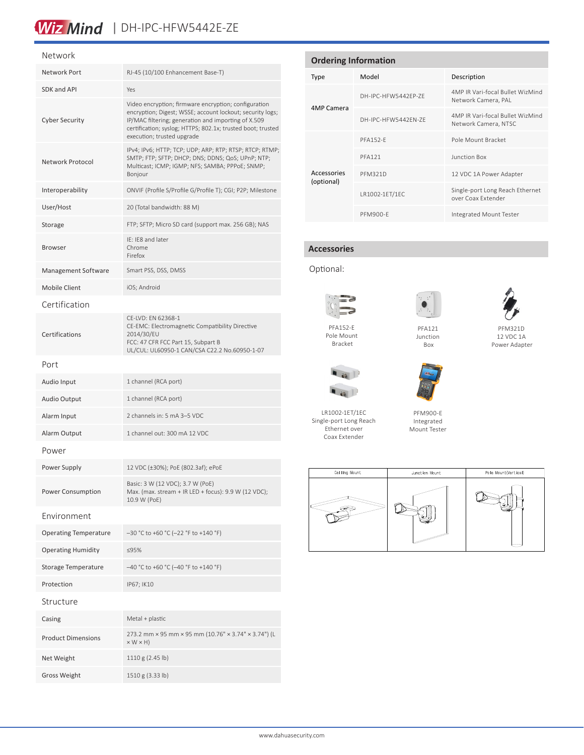# Wiz Mind | DH-IPC-HFW5442E-ZE

#### Network

| Network Port                 | RJ-45 (10/100 Enhancement Base-T)                                                                                                                                                                                                                                     |  |  |  |  |
|------------------------------|-----------------------------------------------------------------------------------------------------------------------------------------------------------------------------------------------------------------------------------------------------------------------|--|--|--|--|
| SDK and API                  | Yes                                                                                                                                                                                                                                                                   |  |  |  |  |
| <b>Cyber Security</b>        | Video encryption; firmware encryption; configuration<br>encryption; Digest; WSSE; account lockout; security logs;<br>IP/MAC filtering; generation and importing of X.509<br>certification; syslog; HTTPS; 802.1x; trusted boot; trusted<br>execution; trusted upgrade |  |  |  |  |
| Network Protocol             | IPv4; IPv6; HTTP; TCP; UDP; ARP; RTP; RTSP; RTCP; RTMP;<br>SMTP; FTP; SFTP; DHCP; DNS; DDNS; QoS; UPnP; NTP;<br>Multicast; ICMP; IGMP; NFS; SAMBA; PPPoE; SNMP;<br>Bonjour                                                                                            |  |  |  |  |
| Interoperability             | ONVIF (Profile S/Profile G/Profile T); CGI; P2P; Milestone                                                                                                                                                                                                            |  |  |  |  |
| User/Host                    | 20 (Total bandwidth: 88 M)                                                                                                                                                                                                                                            |  |  |  |  |
| Storage                      | FTP; SFTP; Micro SD card (support max. 256 GB); NAS                                                                                                                                                                                                                   |  |  |  |  |
| <b>Browser</b>               | IE: IE8 and later<br>Chrome<br>Firefox                                                                                                                                                                                                                                |  |  |  |  |
| Management Software          | Smart PSS, DSS, DMSS                                                                                                                                                                                                                                                  |  |  |  |  |
| Mobile Client                | iOS: Android                                                                                                                                                                                                                                                          |  |  |  |  |
| Certification                |                                                                                                                                                                                                                                                                       |  |  |  |  |
| Certifications               | CE-LVD: EN 62368-1<br>CE-EMC: Electromagnetic Compatibility Directive<br>2014/30/EU<br>FCC: 47 CFR FCC Part 15, Subpart B<br>UL/CUL: UL60950-1 CAN/CSA C22.2 No.60950-1-07                                                                                            |  |  |  |  |
| Port                         |                                                                                                                                                                                                                                                                       |  |  |  |  |
| Audio Input                  | 1 channel (RCA port)                                                                                                                                                                                                                                                  |  |  |  |  |
| <b>Audio Output</b>          | 1 channel (RCA port)                                                                                                                                                                                                                                                  |  |  |  |  |
| Alarm Input                  | 2 channels in: 5 mA 3-5 VDC                                                                                                                                                                                                                                           |  |  |  |  |
| Alarm Output                 | 1 channel out: 300 mA 12 VDC                                                                                                                                                                                                                                          |  |  |  |  |
| Power                        |                                                                                                                                                                                                                                                                       |  |  |  |  |
| Power Supply                 | 12 VDC (±30%); PoE (802.3af); ePoE                                                                                                                                                                                                                                    |  |  |  |  |
| Power Consumption            | Basic: 3 W (12 VDC); 3.7 W (PoE)<br>Max. (max. stream + IR LED + focus): 9.9 W (12 VDC);<br>10.9 W (PoE)                                                                                                                                                              |  |  |  |  |
| Environment                  |                                                                                                                                                                                                                                                                       |  |  |  |  |
| <b>Operating Temperature</b> | -30 °C to +60 °C (-22 °F to +140 °F)                                                                                                                                                                                                                                  |  |  |  |  |
| <b>Operating Humidity</b>    | ≤95%                                                                                                                                                                                                                                                                  |  |  |  |  |
| Storage Temperature          | -40 °C to +60 °C (-40 °F to +140 °F)                                                                                                                                                                                                                                  |  |  |  |  |
| Protection                   | IP67; IK10                                                                                                                                                                                                                                                            |  |  |  |  |
| Structure                    |                                                                                                                                                                                                                                                                       |  |  |  |  |
| Casing                       | Metal + plastic                                                                                                                                                                                                                                                       |  |  |  |  |
| <b>Product Dimensions</b>    | 273.2 mm × 95 mm × 95 mm (10.76" × 3.74" × 3.74") (L<br>$\times$ W $\times$ H)                                                                                                                                                                                        |  |  |  |  |
| Net Weight                   | 1110 g (2.45 lb)                                                                                                                                                                                                                                                      |  |  |  |  |
| <b>Gross Weight</b>          | 1510 g (3.33 lb)                                                                                                                                                                                                                                                      |  |  |  |  |

| <b>Ordering Information</b> |                     |                                                          |  |  |
|-----------------------------|---------------------|----------------------------------------------------------|--|--|
| Type                        | Model               | Description                                              |  |  |
|                             | DH-IPC-HFW5442FP-7F | 4MP IR Vari-focal Bullet WizMind<br>Network Camera, PAL  |  |  |
| 4MP Camera                  | DH-IPC-HFW5442FN-7F | 4MP IR Vari-focal Bullet WizMind<br>Network Camera, NTSC |  |  |
|                             | <b>PFA152-F</b>     | Pole Mount Bracket                                       |  |  |
|                             | <b>PFA121</b>       | Junction Box                                             |  |  |
| Accessories<br>(optional)   | <b>PFM321D</b>      | 12 VDC 1A Power Adapter                                  |  |  |
|                             | LR1002-1ET/1EC      | Single-port Long Reach Ethernet<br>over Coax Extender    |  |  |
|                             | PFM900-F            | Integrated Mount Tester                                  |  |  |

### **Accessories**

Optional:





PFM321D 12 VDC 1A Power Adapter

Pole Mount Bracket



LR1002-1ET/1EC Single-port Long Reach Ethernet over Coax Extender







PFM900-E Integrated Mount Tester